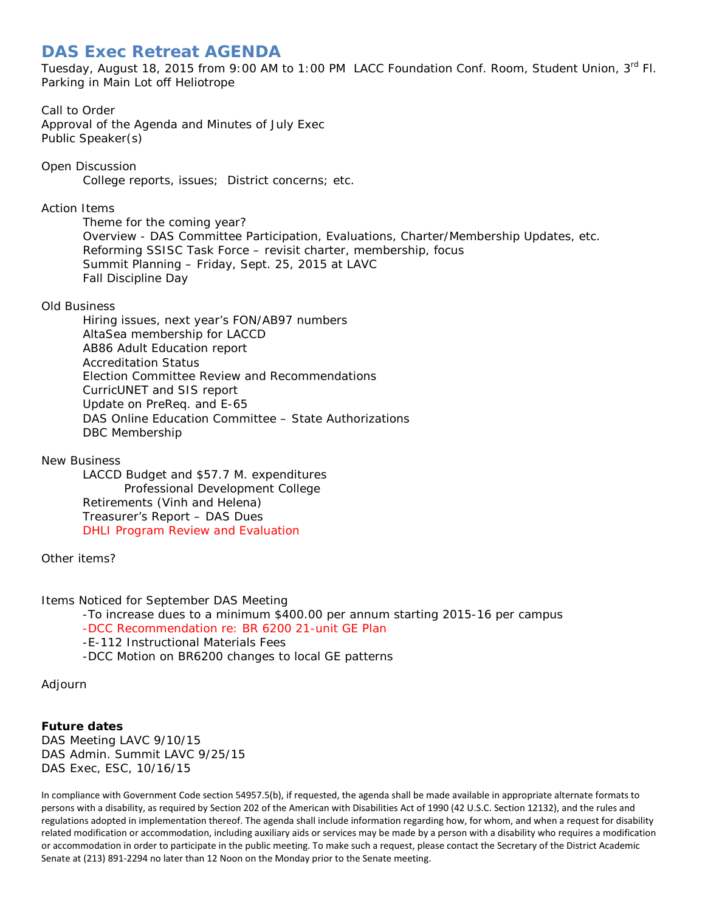# **DAS Exec Retreat AGENDA**

Tuesday, August 18, 2015 from 9:00 AM to 1:00 PM LACC Foundation Conf. Room, Student Union, 3rd Fl. Parking in Main Lot off Heliotrope

## Call to Order

Approval of the Agenda and Minutes of July Exec Public Speaker(s)

Open Discussion College reports, issues; District concerns; etc.

Action Items

Theme for the coming year? Overview - DAS Committee Participation, Evaluations, Charter/Membership Updates, etc. Reforming SSISC Task Force – revisit charter, membership, focus Summit Planning – Friday, Sept. 25, 2015 at LAVC Fall Discipline Day

#### Old Business

Hiring issues, next year's FON/AB97 numbers AltaSea membership for LACCD AB86 Adult Education report Accreditation Status Election Committee Review and Recommendations CurricUNET and SIS report Update on PreReq. and E-65 DAS Online Education Committee – State Authorizations DBC Membership

#### New Business

LACCD Budget and \$57.7 M. expenditures Professional Development College Retirements (Vinh and Helena) Treasurer's Report – DAS Dues DHLI Program Review and Evaluation

Other items?

Items Noticed for September DAS Meeting

-To increase dues to a minimum \$400.00 per annum starting 2015-16 per campus -DCC Recommendation re: BR 6200 21-unit GE Plan -E-112 Instructional Materials Fees

-DCC Motion on BR6200 changes to local GE patterns

Adjourn

### **Future dates**

DAS Meeting LAVC 9/10/15 DAS Admin. Summit LAVC 9/25/15 DAS Exec, ESC, 10/16/15

In compliance with Government Code section 54957.5(b), if requested, the agenda shall be made available in appropriate alternate formats to persons with a disability, as required by Section 202 of the American with Disabilities Act of 1990 (42 U.S.C. Section 12132), and the rules and regulations adopted in implementation thereof. The agenda shall include information regarding how, for whom, and when a request for disability related modification or accommodation, including auxiliary aids or services may be made by a person with a disability who requires a modification or accommodation in order to participate in the public meeting. To make such a request, please contact the Secretary of the District Academic Senate at (213) 891-2294 no later than 12 Noon on the Monday prior to the Senate meeting.